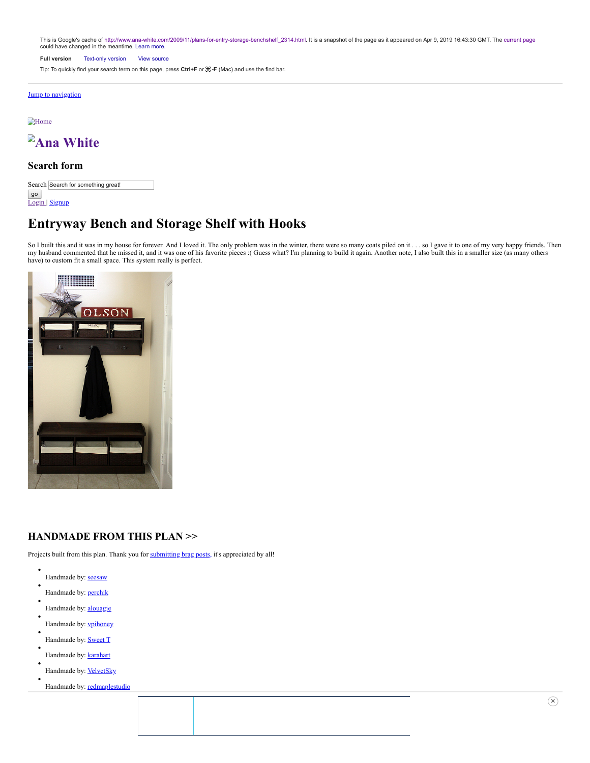This is Google's cache of [http://www.ana-white.com/2009/11/plans-for-entry-storage-benchshelf\\_2314.html.](http://www.ana-white.com/2009/11/plans-for-entry-storage-benchshelf_2314.html) It is a snapshot of the page as it appeared on Apr 9, 2019 16:43:30 GMT. The [current page](http://www.ana-white.com/2009/11/plans-for-entry-storage-benchshelf_2314.html) could have changed in the meantime. [Learn more.](http://support.google.com/websearch/bin/answer.py?hl=en&p=cached&answer=1687222)

**Full version** [Text-only version](http://webcache.googleusercontent.com/search?q=cache:BVvTlOhMO9sJ:www.ana-white.com/2009/11/plans-for-entry-storage-benchshelf_2314.html&hl=en&gl=us&strip=1&vwsrc=0) [View source](http://webcache.googleusercontent.com/search?q=cache:BVvTlOhMO9sJ:www.ana-white.com/2009/11/plans-for-entry-storage-benchshelf_2314.html&hl=en&gl=us&strip=0&vwsrc=1)

Tip: To quickly find your search term on this page, press **Ctrl+F** or ⌘**-F** (Mac) and use the find bar.

### [Jump to navigation](#page-5-0)

**[Home](http://www.ana-white.com/)** 



## **Search form**

|    | Search Search for something great! |
|----|------------------------------------|
| go |                                    |
|    | Login   Signup                     |

# **Entryway Bench and Storage Shelf with Hooks**

So I built this and it was in my house for forever. And I loved it. The only problem was in the winter, there were so many coats piled on it . . . so I gave it to one of my very happy friends. Then my husband commented that he missed it, and it was one of his favorite pieces :(Guess what? I'm planning to build it again. Another note, I also built this in a smaller size (as many others have) to custom fit a small space. This system really is perfect.



# **HANDMADE FROM THIS PLAN >>**

Projects built from this plan. Thank you for [submitting brag posts,](http://ana-white.com/node/add/brag-post) it's appreciated by all!

- Handmade by: [seesaw](http://www.ana-white.com/users/seesaw)
- Handmade by: [perchik](http://www.ana-white.com/users/perchik)
- Handmade by: **[alouagie](http://www.ana-white.com/users/alouagie)**
- Handmade by: **[vpihoney](http://www.ana-white.com/users/vpihoney)**
- Handmade by: **[Sweet T](http://www.ana-white.com/users/sweet-t)**
- Handmade by: [karahart](http://www.ana-white.com/users/karahart)
- Handmade by: **[VelvetSky](http://www.ana-white.com/users/velvetsky)**
- Handmade by: [redmaplestudio](http://www.ana-white.com/users/redmaplestudio)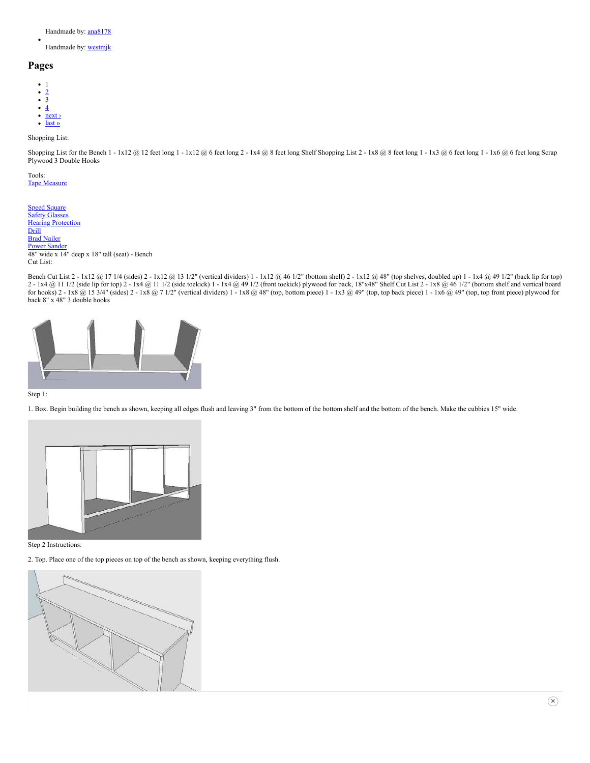Handmade by: [ana8178](http://www.ana-white.com/users/ana8178)

Handmade by: **[westmjk](http://www.ana-white.com/users/westmjk)** 

### **Pages**

- 1
- [2](http://www.ana-white.com/2009/11/plans-for-entry-storage-benchshelf_2314.html?page=1)
- [3](http://www.ana-white.com/2009/11/plans-for-entry-storage-benchshelf_2314.html?page=2) [4](http://www.ana-white.com/2009/11/plans-for-entry-storage-benchshelf_2314.html?page=3)
- $\bullet$  next >
- [last »](http://www.ana-white.com/2009/11/plans-for-entry-storage-benchshelf_2314.html?page=3)

Shopping List:

Shopping List for the Bench 1 - 1x12 @ 12 feet long 1 - 1x12 @ 6 feet long 2 - 1x4 @ 8 feet long Shelf Shopping List 2 - 1x8 @ 8 feet long 1 - 1x3 @ 6 feet long 1 - 1x6 @ 6 feet long Scrap Plywood 3 Double Hooks

Tools: [Tape Measure](https://www.amazon.com/Stanley-33-116-16-Foot-PowerLock-Tape/dp/B00002X2GE/ref=as_li_ss_tl?s=hi&ie=UTF8&qid=1549315735&sr=1-1&keywords=stanley+16+foot+tape+measure&linkCode=ll1&tag=knooffwoo20-20&linkId=eec222f82fbe44887db4f333deeb210e&language=en_US)

[Speed Square](https://www.amazon.com/Swanson-Tool-S0101-7-inch-Square/dp/B00002255O/ref=as_li_ss_tl?s=hi&ie=UTF8&qid=1549315813&sr=1-3&keywords=speed+square&linkCode=ll1&tag=knooffwoo20-20&linkId=320c4213eaaa27a0cf8de126c77f71ce&language=en_US) **[Safety Glasses](https://www.amazon.com/gp/buy/thankyou/handlers/display.html/ref=as_li_ss_tl?ie=UTF8&asins=B07253G22T&isRefresh=1&orderId=111-9021871-4122626&purchaseId=106-7299565-6173046&ref_=chk_typ_browserRefresh&viewId=ThankYouCart&linkCode=ll2&tag=knooffwoo20-20&linkId=874cc3bb7303421930cf86bcf48a5e97&language=en_US) [Hearing Protection](https://www.amazon.com/gp/product/B07H2LCZXH/ref=as_li_ss_tl?pf_rd_m=ATVPDKIKX0DER&pf_rd_s=hero-quick-promo&pf_rd_r=7HRP6VN8HC2N89ZKWEZG&pf_rd_r=7HRP6VN8HC2N89ZKWEZG&pf_rd_t=201&pf_rd_p=d59dbb70-7ae6-48fe-a913-94e89579aec2&pf_rd_p=d59dbb70-7ae6-48fe-a913-94e89579aec2&pf_rd_i=B01FL5BQGA&linkCode=ll1&tag=knooffwoo20-20&linkId=fd59f542e0ed507f2b4af16520596b52&language=en_US)** [Drill](https://www.amazon.com/BLACK-DECKER-LDX120C-Lithium-Driver/dp/B005NNF0YU/ref=as_li_ss_tl?s=power-hand-tools&ie=UTF8&qid=1549316831&sr=1-3&keywords=drill&linkCode=ll1&tag=knooffwoo20-20&linkId=9cbe53e8470db181dbb81d328a0a6175&language=en_US) **[Brad Nailer](https://www.amazon.com/PORTER-CABLE-PCC790LA-Lithium-Cordless-Battery/dp/B017NJ6X7E/ref=as_li_ss_tl?s=hi&ie=UTF8&qid=1549317542&sr=1-4&keywords=brad+nailer+cordless&linkCode=ll1&tag=knooffwoo20-20&linkId=dcad8c839c75b4114331184c34e183d7&language=en_US) [Power Sander](https://www.amazon.com/BLACK-DECKER-BDERO100-Random-Sander/dp/B00MLSS1SW/ref=as_li_ss_tl?s=hi&ie=UTF8&qid=1549317703&sr=1-4&keywords=sander&linkCode=ll1&tag=knooffwoo20-20&linkId=888457a0a1042c24971775e15b9d3b50&language=en_US)** 48" wide x 14" deep x 18" tall (seat) - Bench Cut List:

Bench Cut List 2 - 1x12 @ 17 1/4 (sides) 2 - 1x12 @ 13 1/2" (vertical dividers) 1 - 1x12 @ 46 1/2" (bottom shelf) 2 - 1x12 @ 48" (top shelves, doubled up) 1 - 1x4 @ 49 1/2" (back lip for top) 2 - 1x4 @ 11 1/2 (side lip for top) 2 - 1x4 @ 11 1/2 (side toekick) 1 - 1x4 @ 49 1/2 (front toekick) plywood for back, 18"x48" Shelf Cut List 2 - 1x8 @ 46 1/2" (bottom shelf and vertical board for hooks)  $2 - 1x8$  @ 15 3/4" (sides)  $2 - 1x8$  @ 7 1/2" (vertical dividers)  $1 - 1x8$  @ 48" (top, bottom piece)  $1 - 1x3$  @ 49" (top, top back piece)  $1 - 1x6$  @ 49" (top, top front piece) plywood for back 8" x 48" 3 double hooks



#### Step 1:

1. Box. Begin building the bench as shown, keeping all edges flush and leaving 3" from the bottom of the bottom shelf and the bottom of the bench. Make the cubbies 15" wide.



#### Step 2 Instructions:

2. Top. Place one of the top pieces on top of the bench as shown, keeping everything flush.

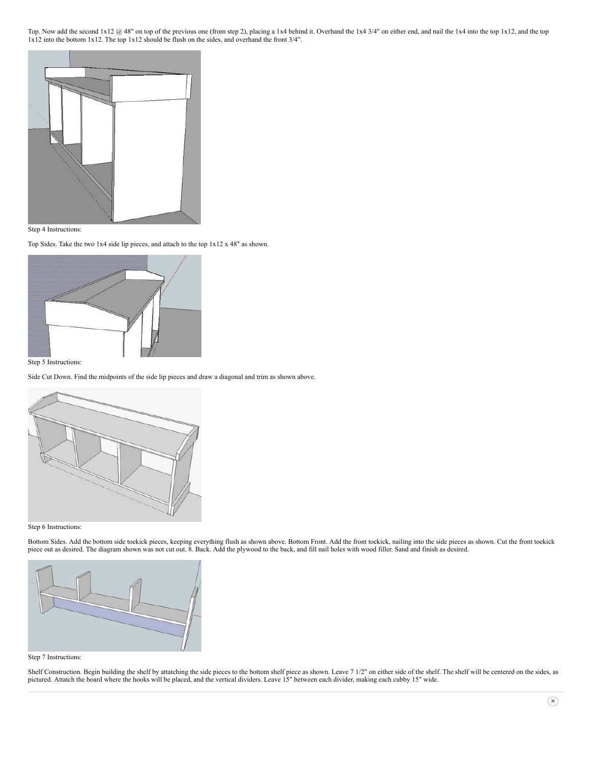Top. Now add the second  $1x12 \omega 48$ " on top of the previous one (from step 2), placing a  $1x4$  behind it. Overhand the  $1x4 \omega 3/4$ " on either end, and nail the  $1x4$  into the top  $1x12$ , and the top 1x12 into the bottom 1x12. The top 1x12 should be flush on the sides, and overhand the front 3/4".



Step 4 Instructions:

Top Sides. Take the two 1x4 side lip pieces, and attach to the top 1x12 x 48" as shown.



#### Step 5 Instructions:

Side Cut Down. Find the midpoints of the side lip pieces and draw a diagonal and trim as shown above.



#### Step 6 Instructions:

Bottom Sides. Add the bottom side toekick pieces, keeping everything flush as shown above. Bottom Front. Add the front toekick, nailing into the side pieces as shown. Cut the front toekick piece out as desired. The diagram shown was not cut out. 8. Back. Add the plywood to the back, and fill nail holes with wood filler. Sand and finish as desired.



#### Step 7 Instructions:

Shelf Construction. Begin building the shelf by attatching the side pieces to the bottom shelf piece as shown. Leave 7 1/2" on either side of the shelf. The shelf will be centered on the sides, as pictured. Attatch the board where the hooks will be placed, and the vertical dividers. Leave 15" between each divider, making each cubby 15" wide.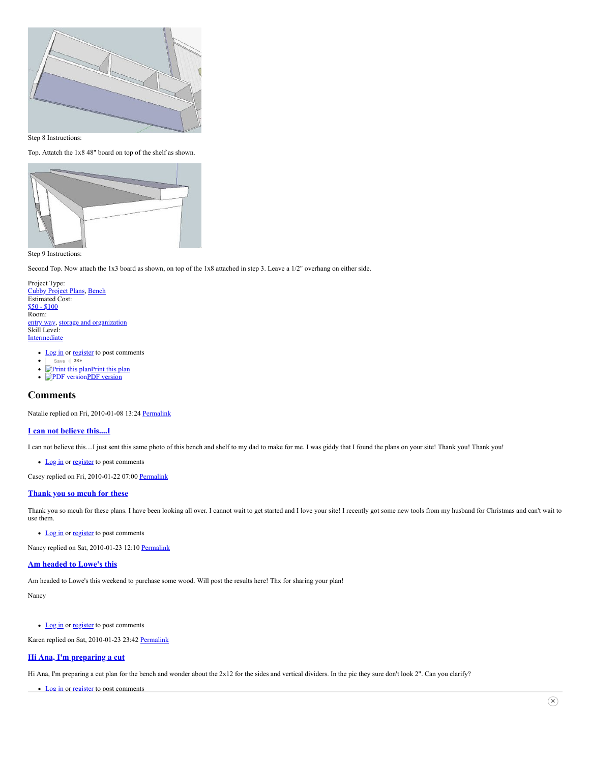

Step 8 Instructions:

Top. Attatch the 1x8 48" board on top of the shelf as shown.



Step 9 Instructions:

Second Top. Now attach the 1x3 board as shown, on top of the 1x8 attached in step 3. Leave a 1/2" overhang on either side.

- Project Type: [Cubby Project Plans,](http://www.ana-white.com/category/plans/project-type/cubbies) [Bench](http://www.ana-white.com/category/plans/vocabulary5/bench) Estimated Cost: [\\$50 - \\$100](http://www.ana-white.com/category/plans/estimated-cost/50-100) Room: [entry way,](http://www.ana-white.com/category/plans/room/entry-way) [storage and organization](http://www.ana-white.com/category/plans/room/storage-and-organization) Skill Level: **[Intermediate](http://www.ana-white.com/category/plans/skill-level/intermediate)** 
	- [Log in](http://www.ana-white.com/user/login?destination=node/129%23comment-form) or [register](http://www.ana-white.com/user/register?destination=node/129%23comment-form) to post comments
	- $\bullet$ **[Save](https://www.pinterest.com/pin/create/button/?guid=wiC6AKxpmudm-2&url=http%3A%2F%2Fwww.ana-white.com%2F2009%2F11%2Fplans-for-entry-storage-benchshelf_2314.html&media=http%3A%2F%2Fwww.ana-white.com%2Fsites%2Fdefault%2Ffiles%2Fstyles%2Flarge%2Fpublic%2Fentry%2520storage%2520bench%2520system%25201.JPG%3Fitok%3DqDrObucK&description=Entryway%20Bench%20and%20Storage%20Shelf%20with%20Hooks) 3K+**
	- Print this plan Print this plan
	- PDF version PDF version

# **Comments**

Natalie replied on Fri, 2010-01-08 13:24 [Permalink](http://www.ana-white.com/comment/1066#comment-1066)

#### **I can not believe [this....I](http://www.ana-white.com/comment/1066#comment-1066)**

I can not believe this....I just sent this same photo of this bench and shelf to my dad to make for me. I was giddy that I found the plans on your site! Thank you! Thank you!

• [Log in](http://www.ana-white.com/user/login?destination=node/129%23comment-form) or [register](http://www.ana-white.com/user/register?destination=node/129%23comment-form) to post comments

Casey replied on Fri, 2010-01-22 07:00 [Permalink](http://www.ana-white.com/comment/1067#comment-1067)

#### **[Thank](http://www.ana-white.com/comment/1067#comment-1067) you so mcuh for these**

Thank you so mcuh for these plans. I have been looking all over. I cannot wait to get started and I love your site! I recently got some new tools from my husband for Christmas and can't wait to use them.

• [Log in](http://www.ana-white.com/user/login?destination=node/129%23comment-form) or [register](http://www.ana-white.com/user/register?destination=node/129%23comment-form) to post comments

Nancy replied on Sat, 2010-01-23 12:10 [Permalink](http://www.ana-white.com/comment/1068#comment-1068)

#### **Am [headed](http://www.ana-white.com/comment/1068#comment-1068) to Lowe's this**

Am headed to Lowe's this weekend to purchase some wood. Will post the results here! Thx for sharing your plan!

Nancy

• [Log in](http://www.ana-white.com/user/login?destination=node/129%23comment-form) or [register](http://www.ana-white.com/user/register?destination=node/129%23comment-form) to post comments

Karen replied on Sat, 2010-01-23 23:42 [Permalink](http://www.ana-white.com/comment/1069#comment-1069)

## **Hi Ana, I'm [preparing](http://www.ana-white.com/comment/1069#comment-1069) a cut**

Hi Ana, I'm preparing a cut plan for the bench and wonder about the 2x12 for the sides and vertical dividers. In the pic they sure don't look 2". Can you clarify?

• [Log in](http://www.ana-white.com/user/login?destination=node/129%23comment-form) or [register](http://www.ana-white.com/user/register?destination=node/129%23comment-form) to post comments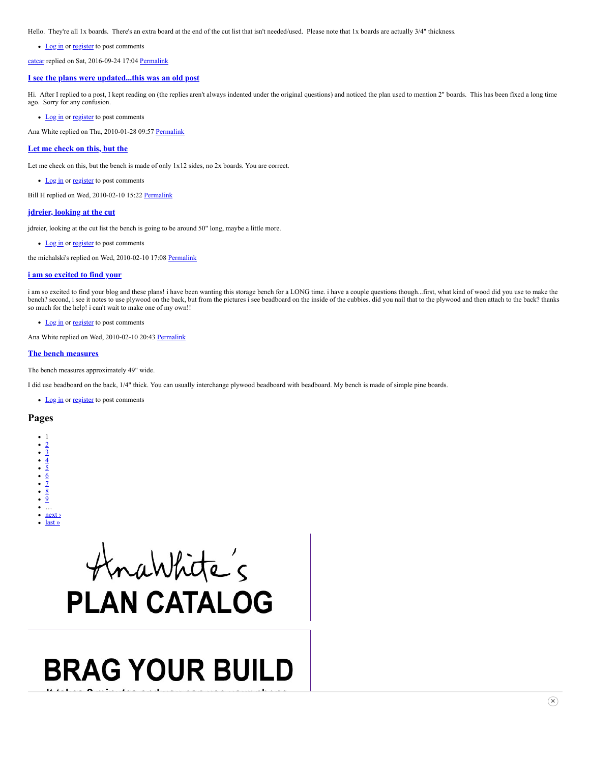Hello. They're all 1x boards. There's an extra board at the end of the cut list that isn't needed/used. Please note that 1x boards are actually 3/4" thickness.

• [Log in](http://www.ana-white.com/user/login?destination=node/129%23comment-form) or [register](http://www.ana-white.com/user/register?destination=node/129%23comment-form) to post comments

[catcar](http://www.ana-white.com/users/catcar) replied on Sat, 2016-09-24 17:04 [Permalink](http://www.ana-white.com/comment/71056#comment-71056)

#### **I see the plans were [updated...this](http://www.ana-white.com/comment/71056#comment-71056) was an old post**

Hi. After I replied to a post, I kept reading on (the replies aren't always indented under the original questions) and noticed the plan used to mention 2" boards. This has been fixed a long time ago. Sorry for any confusion.

• [Log in](http://www.ana-white.com/user/login?destination=node/129%23comment-form) or [register](http://www.ana-white.com/user/register?destination=node/129%23comment-form) to post comments

Ana White replied on Thu, 2010-01-28 09:57 [Permalink](http://www.ana-white.com/comment/1070#comment-1070)

#### **Let me [check](http://www.ana-white.com/comment/1070#comment-1070) on this, but the**

Let me check on this, but the bench is made of only 1x12 sides, no 2x boards. You are correct.

• [Log in](http://www.ana-white.com/user/login?destination=node/129%23comment-form) or [register](http://www.ana-white.com/user/register?destination=node/129%23comment-form) to post comments

Bill H replied on Wed, 2010-02-10 15:22 [Permalink](http://www.ana-white.com/comment/1072#comment-1072)

#### **jdreier, [looking](http://www.ana-white.com/comment/1072#comment-1072) at the cut**

jdreier, looking at the cut list the bench is going to be around 50" long, maybe a little more.

• [Log in](http://www.ana-white.com/user/login?destination=node/129%23comment-form) or [register](http://www.ana-white.com/user/register?destination=node/129%23comment-form) to post comments

the michalski's replied on Wed, 2010-02-10 17:08 [Permalink](http://www.ana-white.com/comment/1073#comment-1073)

#### **i am so [excited](http://www.ana-white.com/comment/1073#comment-1073) to find your**

i am so excited to find your blog and these plans! i have been wanting this storage bench for a LONG time. i have a couple questions though...first, what kind of wood did you use to make the bench? second, i see it notes to use plywood on the back, but from the pictures i see beadboard on the inside of the cubbies. did you nail that to the plywood and then attach to the back? thanks so much for the help! i can't wait to make one of my own!!

• [Log in](http://www.ana-white.com/user/login?destination=node/129%23comment-form) or [register](http://www.ana-white.com/user/register?destination=node/129%23comment-form) to post comments

Ana White replied on Wed, 2010-02-10 20:43 [Permalink](http://www.ana-white.com/comment/1074#comment-1074)

#### **The bench [measures](http://www.ana-white.com/comment/1074#comment-1074)**

The bench measures approximately 49" wide.

I did use beadboard on the back, 1/4" thick. You can usually interchange plywood beadboard with beadboard. My bench is made of simple pine boards.

• [Log in](http://www.ana-white.com/user/login?destination=node/129%23comment-form) or [register](http://www.ana-white.com/user/register?destination=node/129%23comment-form) to post comments

#### **Pages**



# AnaWhite's **PLAN CATALOG**

# **BRAG YOUR BUILD**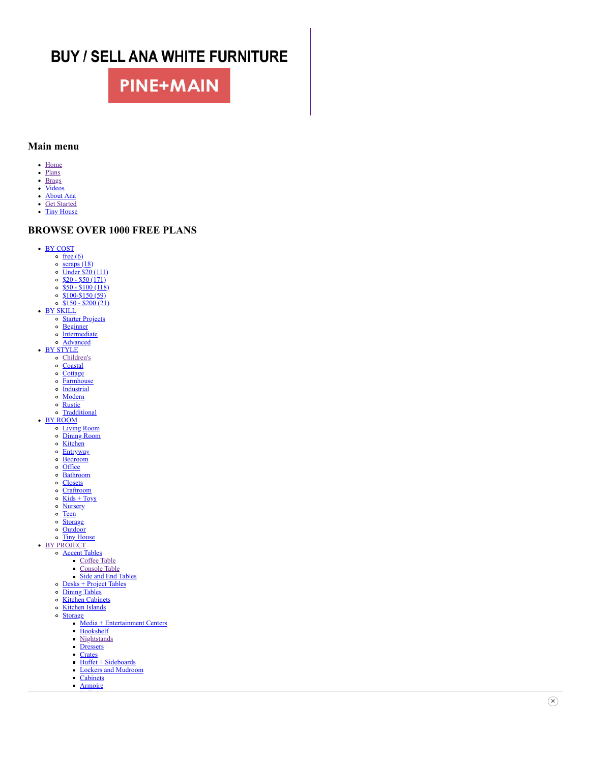# **BUY / SELL ANA WHITE FURNITURE**

# **PINE+MAIN**

## <span id="page-5-0"></span>**Main menu**

- [Home](http://www.ana-white.com/)
- [Plans](http://www.ana-white.com/plancatalog) • [Brags](http://www.ana-white.com/bragboard)
- [Videos](http://www.ana-white.com/videos)
- [About Ana](http://www.ana-white.com/2011/04/about-ana-white)
- [Get Started](http://www.ana-white.com/2012/12/get-started)
- [Tiny House](http://www.ana-white.com/tiny)

# **BROWSE OVER 1000 FREE PLANS**

- [BY COST](http://www.ana-white.com/category/plans/estimated-cost)
	- $\circ$  [free \(6\)](http://www.ana-white.com/category/plans/estimated-cost/free)
	- $\circ$  [scraps \(18\)](http://www.ana-white.com/category/plans/estimated-cost/scraps)
	- [Under \\$20 \(1](http://www.ana-white.com/category/plans/estimated-cost/under-20)11)  $$20 - $50 (171)$
	- $\circ$  [\\$50 \\$100 \(118\)](http://www.ana-white.com/category/plans/estimated-cost/50-100)
	- $\circ$  [\\$100-\\$150 \(59\)](http://www.ana-white.com/category/plans/estimated-cost/100-150)
	- $\circ$  [\\$150 \\$200 \(21\)](http://www.ana-white.com/category/plans/estimated-cost/150-200)
- [BY SKILL](http://www.ana-white.com/category/plans/skill-level/)
	- <u>[Starter Projects](http://www.ana-white.com/category/plans/skill-level/starter-projects)</u>
	- o [Beginner](http://www.ana-white.com/category/plans/skill-level/beginner)
	- o [Intermediate](http://www.ana-white.com/category/plans/skill-level/intermediate)
	- [Advanced](http://www.ana-white.com/category/plans/skill-level/advanced)
- **[BY STYLE](http://www.ana-white.com/category/plans/style/)** 
	- [Children's](http://www.ana-white.com/category/plans/style/childrens)
		- o [Coastal](http://www.ana-white.com/category/plans/vocabulary9/coastal-or-beachy-style-furniture)
		- o [Cottage](http://www.ana-white.com/category/plans/style/cottage)
		- o [Farmhouse](http://www.ana-white.com/category/plans/style/farmhouse)
		- o [Industrial](http://www.ana-white.com/taxonomy/term/6094)
		- [Modern](http://www.ana-white.com/category/plans/style/modern)
		- o [Rustic](http://www.ana-white.com/taxonomy/term/6093) o [Tradditional](http://www.ana-white.com/taxonomy/term/6092)
- [BY ROOM](http://www.ana-white.com/category/plans/vocabulary8/)
	- <u>[Living Room](http://www.ana-white.com/category/plans/room/living-room)</u>
	- [Dining Room](http://www.ana-white.com/category/plans/room/dining-room)
	- $\circ$  [Kitchen](http://www.ana-white.com/category/plans/room/kitchen)
	- o **[Entryway](http://www.ana-white.com/category/plans/room/entry-way)**
	- [Bedroom](http://www.ana-white.com/category/plans/room/bedroom)
	- $\circ$  [Office](http://www.ana-white.com/category/plans/room/office)
	- [Bathroom](http://www.ana-white.com/category/plans/room/bathroom)
	- o [Closets](http://www.ana-white.com/category/plans/room/closets)
	-
	- [Craftroom](http://www.ana-white.com/category/plans/room/craftroom)
	- $\circ$  [Kids + Toys](http://www.ana-white.com/category/plans/room/kids-and-toys)
	- o [Nursery](http://www.ana-white.com/category/plans/room/nursery-and-baby)
	- o [Teen](http://www.ana-white.com/category/plans/room/teens)
	- o [Storage](http://www.ana-white.com/category/plans/room/storage-and-organization)
	- o [Outdoor](http://www.ana-white.com/category/plans/room/outdoor)
	- o [Tiny House](http://www.ana-white.com/category/plans/vocabulary8/tiny-house)
- **[BY PROJECT](http://www.ana-white.com/category/plans/project-type/)** 
	- **[Accent Tables](http://www.ana-white.com/category/plans/project-type/accent-tables)** 
		- [Coffee Table](http://www.ana-white.com/category/plans/project-type/coffee-table)
		- **[Console Table](http://www.ana-white.com/category/plans/project-type/console-tables)**
		- [Side and End Tables](http://www.ana-white.com/category/plans/project-type/side-tables)
	- $\circ$  [Desks + Project Tables](http://www.ana-white.com/category/plans/project-type/desk)
	- o [Dining Tables](http://www.ana-white.com/category/plans/project-type/dining-tables)
	- o [Kitchen Cabinets](http://www.ana-white.com/category/plans/project-type/kitchen-cabinets)
	- o [Kitchen Islands](http://www.ana-white.com/category/plans/project-type/kitchen-islands)
	- o [Storage](http://www.ana-white.com/category/plans/project-type/storage)
		- $Media + Entertainment Centers$
		- **[Bookshelf](http://www.ana-white.com/category/plans/project-type/bookshelves)**
		- **[Nightstands](http://www.ana-white.com/category/plans/project-type/nightstands)**
		- **[Dressers](http://www.ana-white.com/category/plans/project-type/dresser)**
		- **[Crates](http://www.ana-white.com/category/plans/project-type/crates)**
		- $\frac{\text{Buffet}}{\text{Buffer} + \text{Sideboards}}$ **[Lockers and Mudroom](http://www.ana-white.com/category/plans/project-type/lockers)**
		- [Cabinets](http://www.ana-white.com/category/plans/project-type/cabinets)
		- **[Armoire](http://www.ana-white.com/category/plans/project-type/armoire)**
		- [Built-Ins](http://www.ana-white.com/category/plans/project-type/built-ins)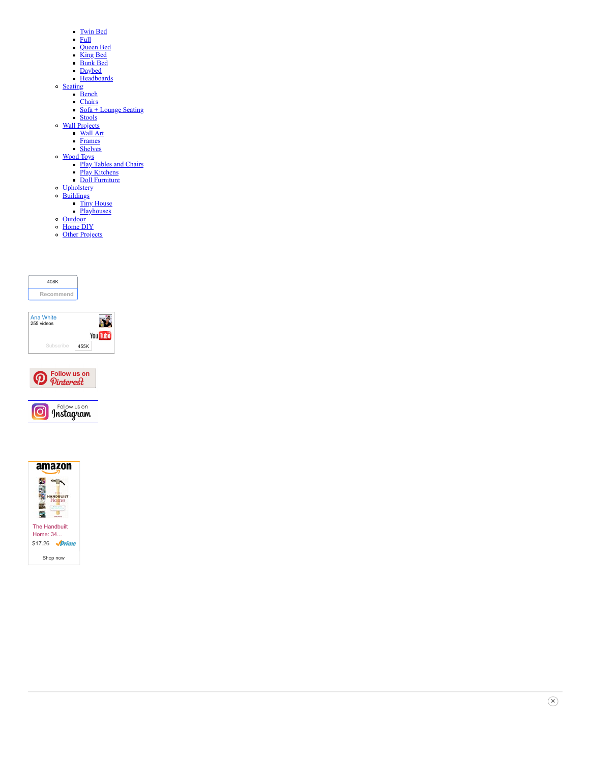- [Twin Bed](http://www.ana-white.com/category/plans/project-type/twin)
- [Full](http://www.ana-white.com/category/plans/project-type/full)
- [Queen Bed](http://www.ana-white.com/category/plans/project-type/queen)
- [King Bed](http://www.ana-white.com/category/plans/project-type/king)
- [Bunk Bed](http://www.ana-white.com/category/plans/project-type/bunk-bed)
- **[Daybed](http://www.ana-white.com/category/plans/project-type/daybed)**
- **[Headboards](http://www.ana-white.com/category/plans/project-type/headboard)**
- **[Seating](http://www.ana-white.com/category/plans/project-type/seating)** 
	- **[Bench](http://www.ana-white.com/category/plans/project-type/bench) [Chairs](http://www.ana-white.com/category/plans/project-type/chairs)**
	- [Sofa + Lounge Seating](http://www.ana-white.com/category/plans/project-type/sofa)
	- [Stools](http://www.ana-white.com/category/plans/project-type/stools)
	- [Wall Projects](http://www.ana-white.com/category/plans/project-type/wall-projects)
	- [Wall Art](http://www.ana-white.com/category/plans/project-type/wall-art)
	- [Frames](http://www.ana-white.com/category/plans/project-type/frames)
	- [Shelves](http://www.ana-white.com/category/plans/project-type/shelves)
	- [Wood Toys](http://www.ana-white.com/category/plans/project-type/toys)
	- [Play Tables and Chairs](http://www.ana-white.com/category/plans/project-type/kids-tables-and-chairs)
	- [Play Kitchens](http://www.ana-white.com/category/plans/project-type/play-kitchen-collection)
	- [Doll Furniture](http://www.ana-white.com/category/plans/project-type/doll-furniture) [Upholstery](http://www.ana-white.com/category/plans/project-type/upholstered-projects)
- **[Buildings](http://www.ana-white.com/category/plans/project-type/buildings)**
- [Tiny House](http://www.ana-white.com/category/plans/vocabulary5/tiny-houses)
	- **[Playhouses](http://www.ana-white.com/category/plans/project-type/playhouse)**
- **[Outdoor](http://www.ana-white.com/category/plans/project-type/outdoor)**
- [Home DIY](http://www.ana-white.com/category/plans/project-type/home-diy)
- o [Other Projects](http://www.ana-white.com/category/plans/project-type/other-projects)



| Ana White<br>255 videos |      |                 |
|-------------------------|------|-----------------|
|                         |      | <b>You Tube</b> |
| Subscribe               | 455K |                 |





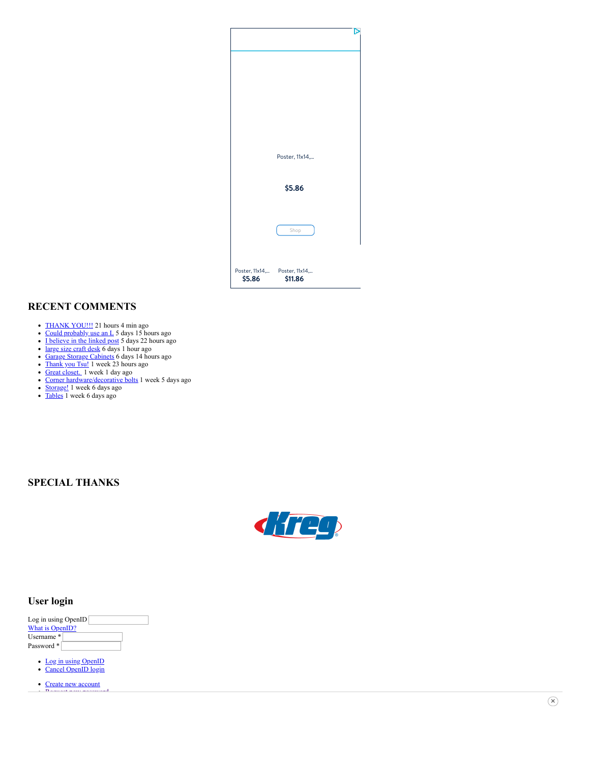

# **RECENT COMMENTS**

- [THANK YOU!!!](http://www.ana-white.com/comment/75047#comment-75047) 21 hours 4 min ago
- [Could probably use an L](http://www.ana-white.com/comment/75046#comment-75046) 5 days 15 hours ago
- [I believe in the linked post](http://www.ana-white.com/comment/75045#comment-75045) 5 days 22 hours ago
- [large size craft desk](http://www.ana-white.com/comment/75044#comment-75044) 6 days 1 hour ago
- [Garage Storage Cabinets](http://www.ana-white.com/comment/75043#comment-75043) 6 days 14 hours ago
- [Thank you Tsu!](http://www.ana-white.com/comment/75042#comment-75042) 1 week 23 hours ago
- [Great closet.](http://www.ana-white.com/comment/75041#comment-75041) 1 week 1 day ago
- [Corner hardware/decorative bolts](http://www.ana-white.com/comment/75040#comment-75040) 1 week 5 days ago
- [Storage!](http://www.ana-white.com/comment/75039#comment-75039) 1 week 6 days ago
- [Tables](http://www.ana-white.com/comment/75038#comment-75038) 1 week 6 days ago

# **SPECIAL THANKS**



# **User login**

| Log in using OpenID |  |
|---------------------|--|
| What is OpenID?     |  |
| Username*           |  |
| Password *          |  |

- Log in using OpenID
- Cancel OpenID login
- [Create new account](http://www.ana-white.com/user/register) **Dequast news**